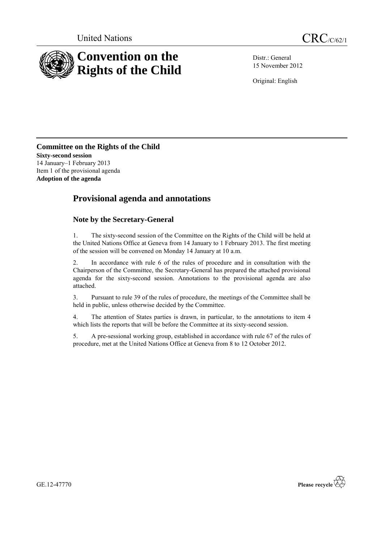

Distr.: General 15 November 2012

Original: English

**Committee on the Rights of the Child Sixty-second session** 14 January–1 February 2013 Item 1 of the provisional agenda **Adoption of the agenda**

# **Provisional agenda and annotations**

## **Note by the Secretary-General**

1. The sixty-second session of the Committee on the Rights of the Child will be held at the United Nations Office at Geneva from 14 January to 1 February 2013. The first meeting of the session will be convened on Monday 14 January at 10 a.m.

2. In accordance with rule 6 of the rules of procedure and in consultation with the Chairperson of the Committee, the Secretary-General has prepared the attached provisional agenda for the sixty-second session. Annotations to the provisional agenda are also attached.

3. Pursuant to rule 39 of the rules of procedure, the meetings of the Committee shall be held in public, unless otherwise decided by the Committee.

4. The attention of States parties is drawn, in particular, to the annotations to item 4 which lists the reports that will be before the Committee at its sixty-second session.

5. A pre-sessional working group, established in accordance with rule 67 of the rules of procedure, met at the United Nations Office at Geneva from 8 to 12 October 2012*.*



GE.12-47770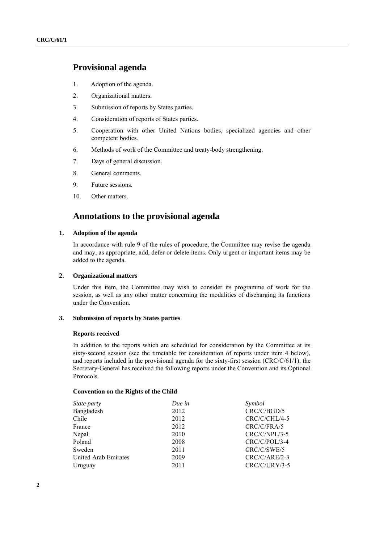## **Provisional agenda**

- 1. Adoption of the agenda.
- 2. Organizational matters.
- 3. Submission of reports by States parties.
- 4. Consideration of reports of States parties.
- 5. Cooperation with other United Nations bodies, specialized agencies and other competent bodies.
- 6. Methods of work of the Committee and treaty-body strengthening.
- 7. Days of general discussion.
- 8. General comments.
- 9. Future sessions.
- 10. Other matters.

## **Annotations to the provisional agenda**

#### **1. Adoption of the agenda**

In accordance with rule 9 of the rules of procedure, the Committee may revise the agenda and may, as appropriate, add, defer or delete items. Only urgent or important items may be added to the agenda.

#### **2. Organizational matters**

Under this item, the Committee may wish to consider its programme of work for the session, as well as any other matter concerning the modalities of discharging its functions under the Convention.

#### **3. Submission of reports by States parties**

#### **Reports received**

In addition to the reports which are scheduled for consideration by the Committee at its sixty-second session (see the timetable for consideration of reports under item 4 below), and reports included in the provisional agenda for the sixty-first session (CRC/C/61/1), the Secretary-General has received the following reports under the Convention and its Optional Protocols.

#### **Convention on the Rights of the Child**

| State party          | Due in | Symbol          |
|----------------------|--------|-----------------|
| Bangladesh           | 2012   | CRC/C/BGD/5     |
| Chile                | 2012   | CRC/C/CHL/4-5   |
| France               | 2012   | CRC/C/FRA/5     |
| Nepal                | 2010   | CRC/C/NPL/3-5   |
| Poland               | 2008   | $CRC/C/POL/3-4$ |
| Sweden               | 2011   | CRC/C/SWE/5     |
| United Arab Emirates | 2009   | $CRC/C/ARE/2-3$ |
| Uruguay              | 2011   | $CRC/C/URY/3-5$ |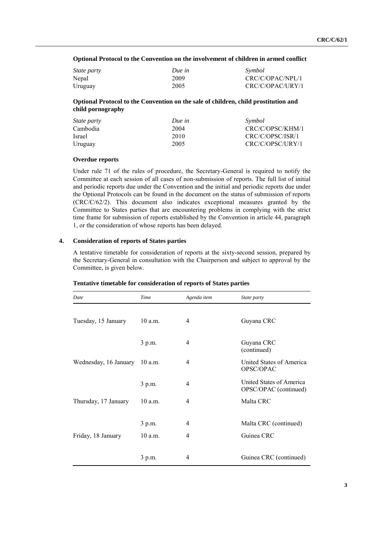**Optional Protocol to the Convention on the involvement of children in armed conflict**

| <i>State party</i> | Due in | Symbol           |
|--------------------|--------|------------------|
| Nepal              | 2009   | CRC/C/OPAC/NPL/1 |
| Uruguay            | 2005   | CRC/C/OPAC/URY/1 |

**Optional Protocol to the Convention on the sale of children, child prostitution and child pornography**

| <i>State party</i> | Due in | Symbol           |
|--------------------|--------|------------------|
| Cambodia           | 2004   | CRC/C/OPSC/KHM/1 |
| Israel             | 2010   | CRC/C/OPSC/ISR/1 |
| Uruguay            | 2005   | CRC/C/OPSC/URY/1 |

#### **Overdue reports**

Under rule 71 of the rules of procedure, the Secretary-General is required to notify the Committee at each session of all cases of non-submission of reports. The full list of initial and periodic reports due under the Convention and the initial and periodic reports due under the Optional Protocols can be found in the document on the status of submission of reports (CRC/C/62/2). This document also indicates exceptional measures granted by the Committee to States parties that are encountering problems in complying with the strict time frame for submission of reports established by the Convention in article 44, paragraph 1, or the consideration of whose reports has been delayed.

#### **4. Consideration of reports of States parties**

A tentative timetable for consideration of reports at the sixty-second session, prepared by the Secretary-General in consultation with the Chairperson and subject to approval by the Committee, is given below.

| Date                  | Time      | Agenda item | State party                                       |
|-----------------------|-----------|-------------|---------------------------------------------------|
| Tuesday, 15 January   | $10$ a.m. | 4           | Guyana CRC                                        |
|                       | 3 p.m.    | 4           | Guyana CRC<br>(continued)                         |
| Wednesday, 16 January | $10$ a.m. | 4           | United States of America<br>OPSC/OPAC             |
|                       | 3 p.m.    | 4           | United States of America<br>OPSC/OPAC (continued) |
| Thursday, 17 January  | $10$ a.m. | 4           | Malta CRC                                         |
|                       | 3 p.m.    | 4           | Malta CRC (continued)                             |
| Friday, 18 January    | $10$ a.m. | 4           | Guinea CRC                                        |
|                       | 3 p.m.    | 4           | Guinea CRC (continued)                            |

#### **Tentative timetable for consideration of reports of States parties**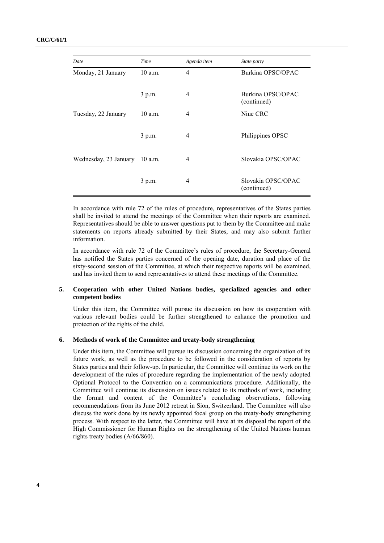| Date                  | Time      | Agenda item | State party                       |
|-----------------------|-----------|-------------|-----------------------------------|
| Monday, 21 January    | $10$ a.m. | 4           | Burkina OPSC/OPAC                 |
|                       | 3 p.m.    | 4           | Burkina OPSC/OPAC<br>(continued)  |
| Tuesday, 22 January   | 10 a.m.   | 4           | Niue CRC                          |
|                       | 3 p.m.    | 4           | Philippines OPSC                  |
| Wednesday, 23 January | $10$ a.m. | 4           | Slovakia OPSC/OPAC                |
|                       | 3 p.m.    | 4           | Slovakia OPSC/OPAC<br>(continued) |

In accordance with rule 72 of the rules of procedure, representatives of the States parties shall be invited to attend the meetings of the Committee when their reports are examined. Representatives should be able to answer questions put to them by the Committee and make statements on reports already submitted by their States, and may also submit further information.

In accordance with rule 72 of the Committee's rules of procedure, the Secretary-General has notified the States parties concerned of the opening date, duration and place of the sixty-second session of the Committee, at which their respective reports will be examined, and has invited them to send representatives to attend these meetings of the Committee.

#### **5. Cooperation with other United Nations bodies, specialized agencies and other competent bodies**

Under this item, the Committee will pursue its discussion on how its cooperation with various relevant bodies could be further strengthened to enhance the promotion and protection of the rights of the child.

#### **6. Methods of work of the Committee and treaty-body strengthening**

Under this item, the Committee will pursue its discussion concerning the organization of its future work, as well as the procedure to be followed in the consideration of reports by States parties and their follow-up. In particular, the Committee will continue its work on the development of the rules of procedure regarding the implementation of the newly adopted Optional Protocol to the Convention on a communications procedure. Additionally, the Committee will continue its discussion on issues related to its methods of work, including the format and content of the Committee's concluding observations, following recommendations from its June 2012 retreat in Sion, Switzerland. The Committee will also discuss the work done by its newly appointed focal group on the treaty-body strengthening process. With respect to the latter, the Committee will have at its disposal the report of the High Commissioner for Human Rights on the strengthening of the United Nations human rights treaty bodies (A/66/860).